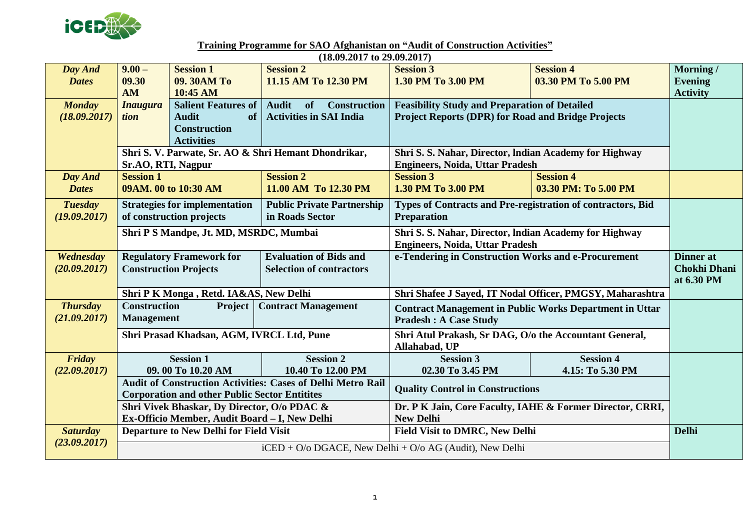

**Training Programme for SAO Afghanistan on "Audit of Construction Activities"**

|                 | $(18.09.2017 \text{ to } 29.09.2017)$                                                    |                                                      |                                                                                                                                                                            |                                                             |                      |                     |  |  |  |  |
|-----------------|------------------------------------------------------------------------------------------|------------------------------------------------------|----------------------------------------------------------------------------------------------------------------------------------------------------------------------------|-------------------------------------------------------------|----------------------|---------------------|--|--|--|--|
| Day And         | $9.00 -$                                                                                 | <b>Session 1</b>                                     | <b>Session 2</b>                                                                                                                                                           | <b>Session 3</b>                                            | <b>Session 4</b>     | Morning/            |  |  |  |  |
| <b>Dates</b>    | 09.30                                                                                    | 09. 30AM To                                          | 11.15 AM To 12.30 PM                                                                                                                                                       | 1.30 PM To 3.00 PM                                          | 03.30 PM To 5.00 PM  | <b>Evening</b>      |  |  |  |  |
|                 | <b>AM</b>                                                                                | 10:45 AM                                             |                                                                                                                                                                            |                                                             |                      | <b>Activity</b>     |  |  |  |  |
| <b>Monday</b>   | <b>Inaugura</b>                                                                          | <b>Salient Features of</b>                           | <b>Audit</b><br>of<br><b>Construction</b>                                                                                                                                  | <b>Feasibility Study and Preparation of Detailed</b>        |                      |                     |  |  |  |  |
| (18.09.2017)    | tion                                                                                     | <b>Activities in SAI India</b><br><b>Audit</b><br>of |                                                                                                                                                                            | <b>Project Reports (DPR) for Road and Bridge Projects</b>   |                      |                     |  |  |  |  |
|                 |                                                                                          | <b>Construction</b>                                  |                                                                                                                                                                            |                                                             |                      |                     |  |  |  |  |
|                 |                                                                                          | <b>Activities</b>                                    |                                                                                                                                                                            |                                                             |                      |                     |  |  |  |  |
|                 | Shri S. V. Parwate, Sr. AO & Shri Hemant Dhondrikar,                                     |                                                      |                                                                                                                                                                            | Shri S. S. Nahar, Director, Indian Academy for Highway      |                      |                     |  |  |  |  |
|                 | Sr.AO, RTI, Nagpur                                                                       |                                                      |                                                                                                                                                                            | <b>Engineers, Noida, Uttar Pradesh</b>                      |                      |                     |  |  |  |  |
| Day And         | <b>Session 1</b>                                                                         |                                                      | <b>Session 2</b>                                                                                                                                                           | <b>Session 3</b>                                            | <b>Session 4</b>     |                     |  |  |  |  |
| <b>Dates</b>    | 09AM. 00 to 10:30 AM                                                                     |                                                      | 11.00 AM To 12.30 PM                                                                                                                                                       | 1.30 PM To 3.00 PM                                          | 03.30 PM: To 5.00 PM |                     |  |  |  |  |
| <b>Tuesday</b>  | <b>Strategies for implementation</b>                                                     |                                                      | <b>Public Private Partnership</b>                                                                                                                                          | Types of Contracts and Pre-registration of contractors, Bid |                      |                     |  |  |  |  |
| (19.09.2017)    | of construction projects                                                                 |                                                      | in Roads Sector                                                                                                                                                            | <b>Preparation</b>                                          |                      |                     |  |  |  |  |
|                 | Shri P S Mandpe, Jt. MD, MSRDC, Mumbai                                                   |                                                      |                                                                                                                                                                            | Shri S. S. Nahar, Director, Indian Academy for Highway      |                      |                     |  |  |  |  |
|                 |                                                                                          |                                                      |                                                                                                                                                                            | <b>Engineers, Noida, Uttar Pradesh</b>                      |                      |                     |  |  |  |  |
| Wednesday       | <b>Regulatory Framework for</b>                                                          |                                                      | <b>Evaluation of Bids and</b>                                                                                                                                              | e-Tendering in Construction Works and e-Procurement         |                      | Dinner at           |  |  |  |  |
| (20.09.2017)    | <b>Construction Projects</b>                                                             |                                                      | <b>Selection of contractors</b>                                                                                                                                            |                                                             |                      | <b>Chokhi Dhani</b> |  |  |  |  |
|                 |                                                                                          |                                                      |                                                                                                                                                                            |                                                             |                      | at 6.30 PM          |  |  |  |  |
|                 | Shri P K Monga, Retd. IA&AS, New Delhi                                                   |                                                      |                                                                                                                                                                            | Shri Shafee J Sayed, IT Nodal Officer, PMGSY, Maharashtra   |                      |                     |  |  |  |  |
| <b>Thursday</b> | <b>Construction</b><br><b>Contract Management</b><br><b>Project</b><br><b>Management</b> |                                                      | <b>Contract Management in Public Works Department in Uttar</b><br><b>Pradesh : A Case Study</b><br>Shri Atul Prakash, Sr DAG, O/o the Accountant General,<br>Allahabad, UP |                                                             |                      |                     |  |  |  |  |
| (21.09.2017)    |                                                                                          |                                                      |                                                                                                                                                                            |                                                             |                      |                     |  |  |  |  |
|                 | Shri Prasad Khadsan, AGM, IVRCL Ltd, Pune                                                |                                                      |                                                                                                                                                                            |                                                             |                      |                     |  |  |  |  |
|                 |                                                                                          |                                                      |                                                                                                                                                                            |                                                             |                      |                     |  |  |  |  |
| Friday          |                                                                                          | <b>Session 1</b>                                     | <b>Session 2</b>                                                                                                                                                           | <b>Session 3</b>                                            | <b>Session 4</b>     |                     |  |  |  |  |
| (22.09.2017)    |                                                                                          | 09.00 To 10.20 AM                                    | 10.40 To 12.00 PM                                                                                                                                                          | 02.30 To 3.45 PM                                            | 4.15: To 5.30 PM     |                     |  |  |  |  |
|                 |                                                                                          |                                                      | <b>Audit of Construction Activities: Cases of Delhi Metro Rail</b>                                                                                                         | <b>Quality Control in Constructions</b>                     |                      |                     |  |  |  |  |
|                 |                                                                                          | <b>Corporation and other Public Sector Entitites</b> |                                                                                                                                                                            |                                                             |                      |                     |  |  |  |  |
|                 | Shri Vivek Bhaskar, Dy Director, O/o PDAC &                                              |                                                      |                                                                                                                                                                            | Dr. P K Jain, Core Faculty, IAHE & Former Director, CRRI,   |                      |                     |  |  |  |  |
|                 |                                                                                          | Ex-Officio Member, Audit Board - I, New Delhi        |                                                                                                                                                                            | <b>New Delhi</b>                                            |                      |                     |  |  |  |  |
| <b>Saturday</b> | <b>Departure to New Delhi for Field Visit</b>                                            |                                                      |                                                                                                                                                                            | <b>Field Visit to DMRC, New Delhi</b>                       |                      | <b>Delhi</b>        |  |  |  |  |
| (23.09.2017)    | $i$ CED + O/o DGACE, New Delhi + O/o AG (Audit), New Delhi                               |                                                      |                                                                                                                                                                            |                                                             |                      |                     |  |  |  |  |
|                 |                                                                                          |                                                      |                                                                                                                                                                            |                                                             |                      |                     |  |  |  |  |